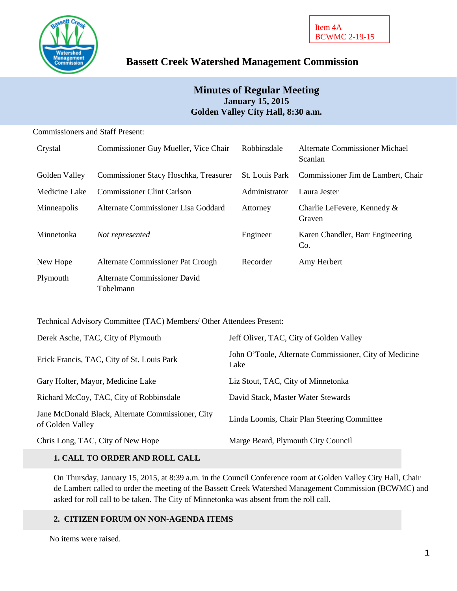

# **Bassett Creek Watershed Management Commission**

# **Minutes of Regular Meeting January 15, 2015 Golden Valley City Hall, 8:30 a.m.**

Commissioners and Staff Present:

| Crystal       | Commissioner Guy Mueller, Vice Chair      | Robbinsdale           | Alternate Commissioner Michael<br>Scanlan |
|---------------|-------------------------------------------|-----------------------|-------------------------------------------|
| Golden Valley | Commissioner Stacy Hoschka, Treasurer     | <b>St.</b> Louis Park | Commissioner Jim de Lambert, Chair        |
| Medicine Lake | <b>Commissioner Clint Carlson</b>         | Administrator         | Laura Jester                              |
| Minneapolis   | Alternate Commissioner Lisa Goddard       | Attorney              | Charlie LeFevere, Kennedy &<br>Graven     |
| Minnetonka    | Not represented                           | Engineer              | Karen Chandler, Barr Engineering<br>Co.   |
| New Hope      | Alternate Commissioner Pat Crough         | Recorder              | Amy Herbert                               |
| Plymouth      | Alternate Commissioner David<br>Tobelmann |                       |                                           |

Technical Advisory Committee (TAC) Members/ Other Attendees Present:

| Derek Asche, TAC, City of Plymouth                                    | Jeff Oliver, TAC, City of Golden Valley                        |
|-----------------------------------------------------------------------|----------------------------------------------------------------|
| Erick Francis, TAC, City of St. Louis Park                            | John O'Toole, Alternate Commissioner, City of Medicine<br>Lake |
| Gary Holter, Mayor, Medicine Lake                                     | Liz Stout, TAC, City of Minnetonka                             |
| Richard McCoy, TAC, City of Robbinsdale                               | David Stack, Master Water Stewards                             |
| Jane McDonald Black, Alternate Commissioner, City<br>of Golden Valley | Linda Loomis, Chair Plan Steering Committee                    |
| Chris Long, TAC, City of New Hope                                     | Marge Beard, Plymouth City Council                             |

# **1. CALL TO ORDER AND ROLL CALL**

On Thursday, January 15, 2015, at 8:39 a.m. in the Council Conference room at Golden Valley City Hall, Chair de Lambert called to order the meeting of the Bassett Creek Watershed Management Commission (BCWMC) and asked for roll call to be taken. The City of Minnetonka was absent from the roll call.

# **2. CITIZEN FORUM ON NON-AGENDA ITEMS**

No items were raised.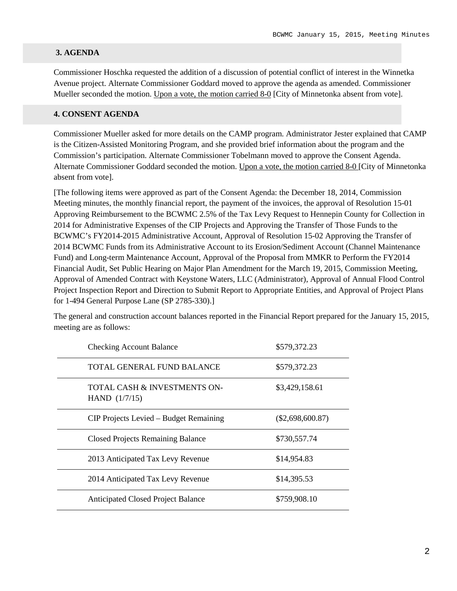#### **3. AGENDA**

Commissioner Hoschka requested the addition of a discussion of potential conflict of interest in the Winnetka Avenue project. Alternate Commissioner Goddard moved to approve the agenda as amended. Commissioner Mueller seconded the motion. Upon a vote, the motion carried 8-0 [City of Minnetonka absent from vote].

#### **4. CONSENT AGENDA**

Commissioner Mueller asked for more details on the CAMP program. Administrator Jester explained that CAMP is the Citizen-Assisted Monitoring Program, and she provided brief information about the program and the Commission's participation. Alternate Commissioner Tobelmann moved to approve the Consent Agenda. Alternate Commissioner Goddard seconded the motion. Upon a vote, the motion carried 8-0 [City of Minnetonka absent from vote].

[The following items were approved as part of the Consent Agenda: the December 18, 2014, Commission Meeting minutes, the monthly financial report, the payment of the invoices, the approval of Resolution 15-01 Approving Reimbursement to the BCWMC 2.5% of the Tax Levy Request to Hennepin County for Collection in 2014 for Administrative Expenses of the CIP Projects and Approving the Transfer of Those Funds to the BCWMC's FY2014-2015 Administrative Account, Approval of Resolution 15-02 Approving the Transfer of 2014 BCWMC Funds from its Administrative Account to its Erosion/Sediment Account (Channel Maintenance Fund) and Long-term Maintenance Account, Approval of the Proposal from MMKR to Perform the FY2014 Financial Audit, Set Public Hearing on Major Plan Amendment for the March 19, 2015, Commission Meeting, Approval of Amended Contract with Keystone Waters, LLC (Administrator), Approval of Annual Flood Control Project Inspection Report and Direction to Submit Report to Appropriate Entities, and Approval of Project Plans for 1-494 General Purpose Lane (SP 2785-330).]

The general and construction account balances reported in the Financial Report prepared for the January 15, 2015, meeting are as follows:

| <b>Checking Account Balance</b>                 | \$579,372.23       |
|-------------------------------------------------|--------------------|
| TOTAL GENERAL FUND BALANCE                      | \$579,372.23       |
| TOTAL CASH & INVESTMENTS ON-<br>HAND $(1/7/15)$ | \$3,429,158.61     |
| CIP Projects Levied – Budget Remaining          | $(\$2,698,600.87)$ |
| <b>Closed Projects Remaining Balance</b>        | \$730,557.74       |
| 2013 Anticipated Tax Levy Revenue               | \$14,954.83        |
| 2014 Anticipated Tax Levy Revenue               | \$14,395.53        |
| <b>Anticipated Closed Project Balance</b>       | \$759,908.10       |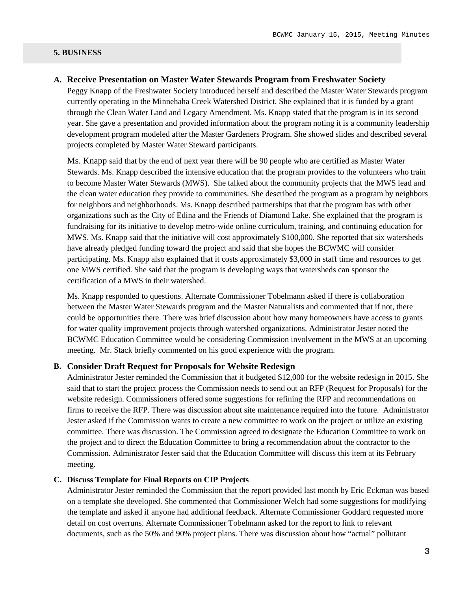#### **5. BUSINESS**

### **A. Receive Presentation on Master Water Stewards Program from Freshwater Society**

Peggy Knapp of the Freshwater Society introduced herself and described the Master Water Stewards program currently operating in the Minnehaha Creek Watershed District. She explained that it is funded by a grant through the Clean Water Land and Legacy Amendment. Ms. Knapp stated that the program is in its second year. She gave a presentation and provided information about the program noting it is a community leadership development program modeled after the Master Gardeners Program. She showed slides and described several projects completed by Master Water Steward participants.

Ms. Knapp said that by the end of next year there will be 90 people who are certified as Master Water Stewards. Ms. Knapp described the intensive education that the program provides to the volunteers who train to become Master Water Stewards (MWS). She talked about the community projects that the MWS lead and the clean water education they provide to communities. She described the program as a program by neighbors for neighbors and neighborhoods. Ms. Knapp described partnerships that that the program has with other organizations such as the City of Edina and the Friends of Diamond Lake. She explained that the program is fundraising for its initiative to develop metro-wide online curriculum, training, and continuing education for MWS. Ms. Knapp said that the initiative will cost approximately \$100,000. She reported that six watersheds have already pledged funding toward the project and said that she hopes the BCWMC will consider participating. Ms. Knapp also explained that it costs approximately \$3,000 in staff time and resources to get one MWS certified. She said that the program is developing ways that watersheds can sponsor the certification of a MWS in their watershed.

Ms. Knapp responded to questions. Alternate Commissioner Tobelmann asked if there is collaboration between the Master Water Stewards program and the Master Naturalists and commented that if not, there could be opportunities there. There was brief discussion about how many homeowners have access to grants for water quality improvement projects through watershed organizations. Administrator Jester noted the BCWMC Education Committee would be considering Commission involvement in the MWS at an upcoming meeting. Mr. Stack briefly commented on his good experience with the program.

### **B. Consider Draft Request for Proposals for Website Redesign**

Administrator Jester reminded the Commission that it budgeted \$12,000 for the website redesign in 2015. She said that to start the project process the Commission needs to send out an RFP (Request for Proposals) for the website redesign. Commissioners offered some suggestions for refining the RFP and recommendations on firms to receive the RFP. There was discussion about site maintenance required into the future. Administrator Jester asked if the Commission wants to create a new committee to work on the project or utilize an existing committee. There was discussion. The Commission agreed to designate the Education Committee to work on the project and to direct the Education Committee to bring a recommendation about the contractor to the Commission. Administrator Jester said that the Education Committee will discuss this item at its February meeting.

# **C. Discuss Template for Final Reports on CIP Projects**

Administrator Jester reminded the Commission that the report provided last month by Eric Eckman was based on a template she developed. She commented that Commissioner Welch had some suggestions for modifying the template and asked if anyone had additional feedback. Alternate Commissioner Goddard requested more detail on cost overruns. Alternate Commissioner Tobelmann asked for the report to link to relevant documents, such as the 50% and 90% project plans. There was discussion about how "actual" pollutant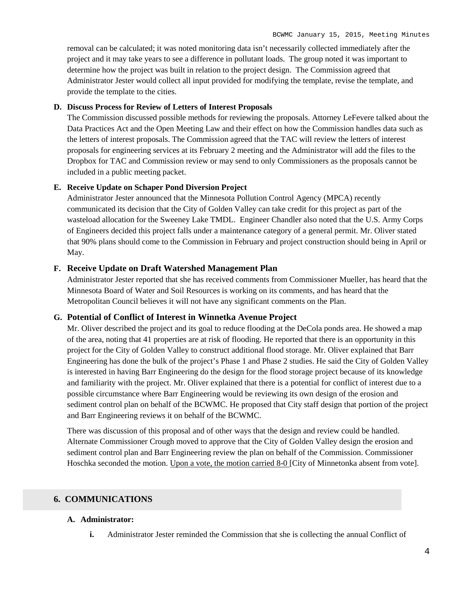removal can be calculated; it was noted monitoring data isn't necessarily collected immediately after the project and it may take years to see a difference in pollutant loads. The group noted it was important to determine how the project was built in relation to the project design. The Commission agreed that Administrator Jester would collect all input provided for modifying the template, revise the template, and provide the template to the cities.

# **D. Discuss Process for Review of Letters of Interest Proposals**

The Commission discussed possible methods for reviewing the proposals. Attorney LeFevere talked about the Data Practices Act and the Open Meeting Law and their effect on how the Commission handles data such as the letters of interest proposals. The Commission agreed that the TAC will review the letters of interest proposals for engineering services at its February 2 meeting and the Administrator will add the files to the Dropbox for TAC and Commission review or may send to only Commissioners as the proposals cannot be included in a public meeting packet.

#### **E. Receive Update on Schaper Pond Diversion Project**

Administrator Jester announced that the Minnesota Pollution Control Agency (MPCA) recently communicated its decision that the City of Golden Valley can take credit for this project as part of the wasteload allocation for the Sweeney Lake TMDL. Engineer Chandler also noted that the U.S. Army Corps of Engineers decided this project falls under a maintenance category of a general permit. Mr. Oliver stated that 90% plans should come to the Commission in February and project construction should being in April or May.

### **F. Receive Update on Draft Watershed Management Plan**

Administrator Jester reported that she has received comments from Commissioner Mueller, has heard that the Minnesota Board of Water and Soil Resources is working on its comments, and has heard that the Metropolitan Council believes it will not have any significant comments on the Plan.

#### **G. Potential of Conflict of Interest in Winnetka Avenue Project**

Mr. Oliver described the project and its goal to reduce flooding at the DeCola ponds area. He showed a map of the area, noting that 41 properties are at risk of flooding. He reported that there is an opportunity in this project for the City of Golden Valley to construct additional flood storage. Mr. Oliver explained that Barr Engineering has done the bulk of the project's Phase 1 and Phase 2 studies. He said the City of Golden Valley is interested in having Barr Engineering do the design for the flood storage project because of its knowledge and familiarity with the project. Mr. Oliver explained that there is a potential for conflict of interest due to a possible circumstance where Barr Engineering would be reviewing its own design of the erosion and sediment control plan on behalf of the BCWMC. He proposed that City staff design that portion of the project and Barr Engineering reviews it on behalf of the BCWMC.

There was discussion of this proposal and of other ways that the design and review could be handled. Alternate Commissioner Crough moved to approve that the City of Golden Valley design the erosion and sediment control plan and Barr Engineering review the plan on behalf of the Commission. Commissioner Hoschka seconded the motion. Upon a vote, the motion carried 8-0 [City of Minnetonka absent from vote].

# **6. COMMUNICATIONS**

# **A. Administrator:**

**i.** Administrator Jester reminded the Commission that she is collecting the annual Conflict of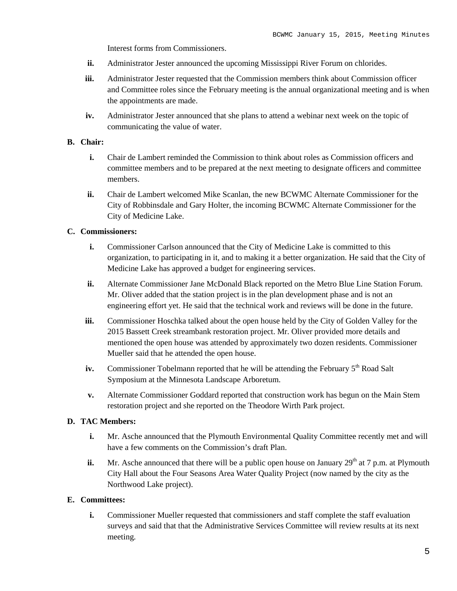Interest forms from Commissioners.

- **ii.** Administrator Jester announced the upcoming Mississippi River Forum on chlorides.
- **iii.** Administrator Jester requested that the Commission members think about Commission officer and Committee roles since the February meeting is the annual organizational meeting and is when the appointments are made.
- **iv.** Administrator Jester announced that she plans to attend a webinar next week on the topic of communicating the value of water.

#### **B. Chair:**

- **i.** Chair de Lambert reminded the Commission to think about roles as Commission officers and committee members and to be prepared at the next meeting to designate officers and committee members.
- **ii.** Chair de Lambert welcomed Mike Scanlan, the new BCWMC Alternate Commissioner for the City of Robbinsdale and Gary Holter, the incoming BCWMC Alternate Commissioner for the City of Medicine Lake.

### **C. Commissioners:**

- **i.** Commissioner Carlson announced that the City of Medicine Lake is committed to this organization, to participating in it, and to making it a better organization. He said that the City of Medicine Lake has approved a budget for engineering services.
- **ii.** Alternate Commissioner Jane McDonald Black reported on the Metro Blue Line Station Forum. Mr. Oliver added that the station project is in the plan development phase and is not an engineering effort yet. He said that the technical work and reviews will be done in the future.
- **iii.** Commissioner Hoschka talked about the open house held by the City of Golden Valley for the 2015 Bassett Creek streambank restoration project. Mr. Oliver provided more details and mentioned the open house was attended by approximately two dozen residents. Commissioner Mueller said that he attended the open house.
- **iv.** Commissioner Tobelmann reported that he will be attending the February 5<sup>th</sup> Road Salt Symposium at the Minnesota Landscape Arboretum.
- **v.** Alternate Commissioner Goddard reported that construction work has begun on the Main Stem restoration project and she reported on the Theodore Wirth Park project.

#### **D. TAC Members:**

- **i.** Mr. Asche announced that the Plymouth Environmental Quality Committee recently met and will have a few comments on the Commission's draft Plan.
- ii. Mr. Asche announced that there will be a public open house on January 29<sup>th</sup> at 7 p.m. at Plymouth City Hall about the Four Seasons Area Water Quality Project (now named by the city as the Northwood Lake project).

#### **E. Committees:**

**i.** Commissioner Mueller requested that commissioners and staff complete the staff evaluation surveys and said that that the Administrative Services Committee will review results at its next meeting.